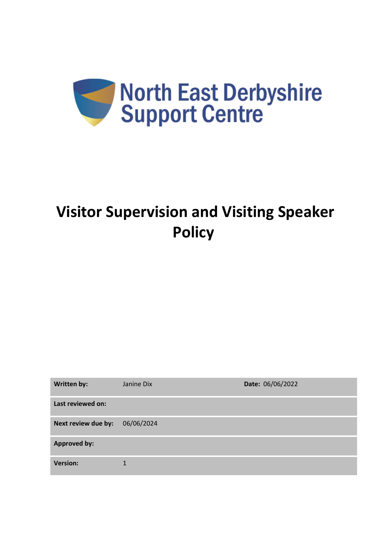

# **Visitor Supervision and Visiting Speaker Policy**

| <b>Written by:</b>  | Janine Dix | Date: 06/06/2022 |
|---------------------|------------|------------------|
| Last reviewed on:   |            |                  |
| Next review due by: | 06/06/2024 |                  |
| <b>Approved by:</b> |            |                  |
| <b>Version:</b>     | 1          |                  |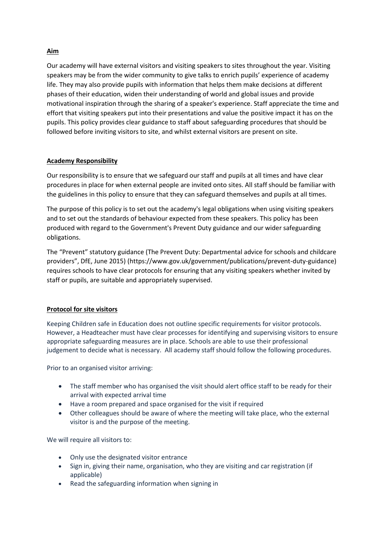## **Aim**

Our academy will have external visitors and visiting speakers to sites throughout the year. Visiting speakers may be from the wider community to give talks to enrich pupils' experience of academy life. They may also provide pupils with information that helps them make decisions at different phases of their education, widen their understanding of world and global issues and provide motivational inspiration through the sharing of a speaker's experience. Staff appreciate the time and effort that visiting speakers put into their presentations and value the positive impact it has on the pupils. This policy provides clear guidance to staff about safeguarding procedures that should be followed before inviting visitors to site, and whilst external visitors are present on site.

### **Academy Responsibility**

Our responsibility is to ensure that we safeguard our staff and pupils at all times and have clear procedures in place for when external people are invited onto sites. All staff should be familiar with the guidelines in this policy to ensure that they can safeguard themselves and pupils at all times.

The purpose of this policy is to set out the academy's legal obligations when using visiting speakers and to set out the standards of behaviour expected from these speakers. This policy has been produced with regard to the Government's Prevent Duty guidance and our wider safeguarding obligations.

The "Prevent" statutory guidance (The Prevent Duty: Departmental advice for schools and childcare providers", DfE, June 2015) (https://www.gov.uk/government/publications/prevent-duty-guidance) requires schools to have clear protocols for ensuring that any visiting speakers whether invited by staff or pupils, are suitable and appropriately supervised.

## **Protocol for site visitors**

Keeping Children safe in Education does not outline specific requirements for visitor protocols. However, a Headteacher must have clear processes for identifying and supervising visitors to ensure appropriate safeguarding measures are in place. Schools are able to use their professional judgement to decide what is necessary. All academy staff should follow the following procedures.

Prior to an organised visitor arriving:

- The staff member who has organised the visit should alert office staff to be ready for their arrival with expected arrival time
- Have a room prepared and space organised for the visit if required
- Other colleagues should be aware of where the meeting will take place, who the external visitor is and the purpose of the meeting.

We will require all visitors to:

- Only use the designated visitor entrance
- Sign in, giving their name, organisation, who they are visiting and car registration (if applicable)
- Read the safeguarding information when signing in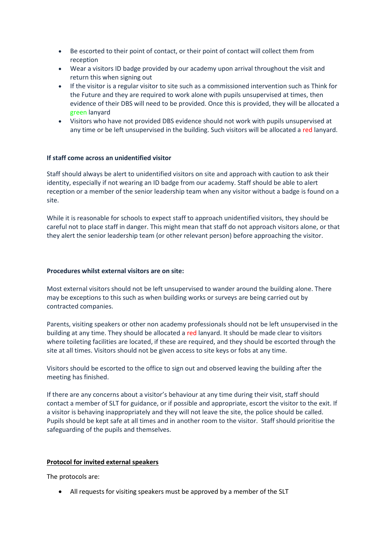- Be escorted to their point of contact, or their point of contact will collect them from reception
- Wear a visitors ID badge provided by our academy upon arrival throughout the visit and return this when signing out
- If the visitor is a regular visitor to site such as a commissioned intervention such as Think for the Future and they are required to work alone with pupils unsupervised at times, then evidence of their DBS will need to be provided. Once this is provided, they will be allocated a green lanyard
- Visitors who have not provided DBS evidence should not work with pupils unsupervised at any time or be left unsupervised in the building. Such visitors will be allocated a red lanyard.

#### **If staff come across an unidentified visitor**

Staff should always be alert to unidentified visitors on site and approach with caution to ask their identity, especially if not wearing an ID badge from our academy. Staff should be able to alert reception or a member of the senior leadership team when any visitor without a badge is found on a site.

While it is reasonable for schools to expect staff to approach unidentified visitors, they should be careful not to place staff in danger. This might mean that staff do not approach visitors alone, or that they alert the senior leadership team (or other relevant person) before approaching the visitor.

#### **Procedures whilst external visitors are on site:**

Most external visitors should not be left unsupervised to wander around the building alone. There may be exceptions to this such as when building works or surveys are being carried out by contracted companies.

Parents, visiting speakers or other non academy professionals should not be left unsupervised in the building at any time. They should be allocated a red lanyard. It should be made clear to visitors where toileting facilities are located, if these are required, and they should be escorted through the site at all times. Visitors should not be given access to site keys or fobs at any time.

Visitors should be escorted to the office to sign out and observed leaving the building after the meeting has finished.

If there are any concerns about a visitor's behaviour at any time during their visit, staff should contact a member of SLT for guidance, or if possible and appropriate, escort the visitor to the exit. If a visitor is behaving inappropriately and they will not leave the site, the police should be called. Pupils should be kept safe at all times and in another room to the visitor. Staff should prioritise the safeguarding of the pupils and themselves.

#### **Protocol for invited external speakers**

The protocols are:

• All requests for visiting speakers must be approved by a member of the SLT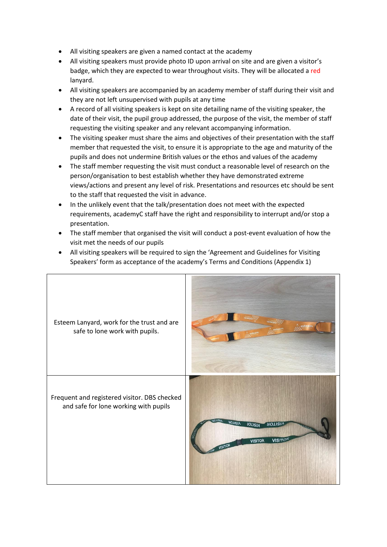- All visiting speakers are given a named contact at the academy
- All visiting speakers must provide photo ID upon arrival on site and are given a visitor's badge, which they are expected to wear throughout visits. They will be allocated a red lanyard.
- All visiting speakers are accompanied by an academy member of staff during their visit and they are not left unsupervised with pupils at any time
- A record of all visiting speakers is kept on site detailing name of the visiting speaker, the date of their visit, the pupil group addressed, the purpose of the visit, the member of staff requesting the visiting speaker and any relevant accompanying information.
- The visiting speaker must share the aims and objectives of their presentation with the staff member that requested the visit, to ensure it is appropriate to the age and maturity of the pupils and does not undermine British values or the ethos and values of the academy
- The staff member requesting the visit must conduct a reasonable level of research on the person/organisation to best establish whether they have demonstrated extreme views/actions and present any level of risk. Presentations and resources etc should be sent to the staff that requested the visit in advance.
- In the unlikely event that the talk/presentation does not meet with the expected requirements, academyC staff have the right and responsibility to interrupt and/or stop a presentation.
- The staff member that organised the visit will conduct a post-event evaluation of how the visit met the needs of our pupils
- All visiting speakers will be required to sign the 'Agreement and Guidelines for Visiting Speakers' form as acceptance of the academy's Terms and Conditions (Appendix 1)

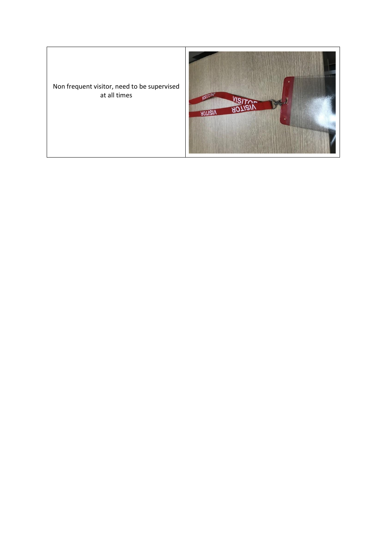